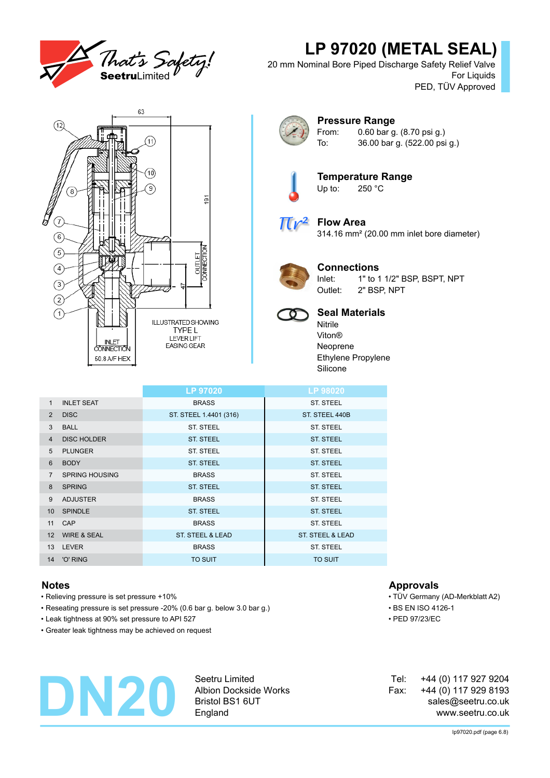

# **LP 97020 (METAL SEAL)**

20 mm Nominal Bore Piped Discharge Safety Relief Valve For Liquids PED, TÜV Approved





### **Pressure Range** From: 0.60 bar g. (8.70 psi g.) To: 36.00 bar g. (522.00 psi g.)



**Temperature Range**<br>Up to: 250 °C  $250 °C$ 



# **Flow Area**

314.16 mm² (20.00 mm inlet bore diameter)



## **Connections**

Inlet: 1" to 1 1/2" BSP, BSPT, NPT Outlet: 2" BSP, NPT



# **Seal Materials**

Nitrile Viton® Neoprene Ethylene Propylene Silicone

|                  |                        | <b>LP 97020</b>             | LP 98020                    |
|------------------|------------------------|-----------------------------|-----------------------------|
| $\mathbf{1}$     | <b>INLET SEAT</b>      | <b>BRASS</b>                | <b>ST. STEEL</b>            |
| $\overline{2}$   | <b>DISC</b>            | ST. STEEL 1.4401 (316)      | ST. STEEL 440B              |
| 3                | <b>BALL</b>            | <b>ST. STEEL</b>            | ST. STEEL                   |
| $\overline{4}$   | <b>DISC HOLDER</b>     | <b>ST. STEEL</b>            | <b>ST. STEEL</b>            |
| 5                | <b>PLUNGER</b>         | <b>ST. STEEL</b>            | ST. STEEL                   |
| 6                | <b>BODY</b>            | <b>ST. STEEL</b>            | <b>ST. STEEL</b>            |
| $\overline{7}$   | <b>SPRING HOUSING</b>  | <b>BRASS</b>                | ST. STEEL                   |
| 8                | <b>SPRING</b>          | <b>ST. STEEL</b>            | <b>ST. STEEL</b>            |
| 9                | <b>ADJUSTER</b>        | <b>BRASS</b>                | ST. STEEL                   |
| 10 <sup>°</sup>  | <b>SPINDLE</b>         | <b>ST. STEEL</b>            | <b>ST. STEEL</b>            |
| 11               | CAP                    | <b>BRASS</b>                | ST. STEEL                   |
| 12 <sup>2</sup>  | <b>WIRE &amp; SEAL</b> | <b>ST. STEEL &amp; LEAD</b> | <b>ST. STEEL &amp; LEAD</b> |
| 13 <sup>13</sup> | <b>LEVER</b>           | <b>BRASS</b>                | ST. STEEL                   |
|                  | 14 'O' RING            | <b>TO SUIT</b>              | <b>TO SUIT</b>              |

- Relieving pressure is set pressure +10% TÜV Germany (AD-Merkblatt A2)
- Reseating pressure is set pressure -20% (0.6 bar g. below 3.0 bar g.) BS EN ISO 4126-1
- Leak tightness at 90% set pressure to API 527 PED 97/23/EC
- Greater leak tightness may be achieved on request

# **DN20**

Seetru Limited Albion Dockside Works Bristol BS1 6UT England

## **Notes Approvals**

- 
- 
- 

+44 (0) 117 927 9204 +44 (0) 117 929 8193 sales@seetru.co.uk www.seetru.co.uk Tel: Fax: